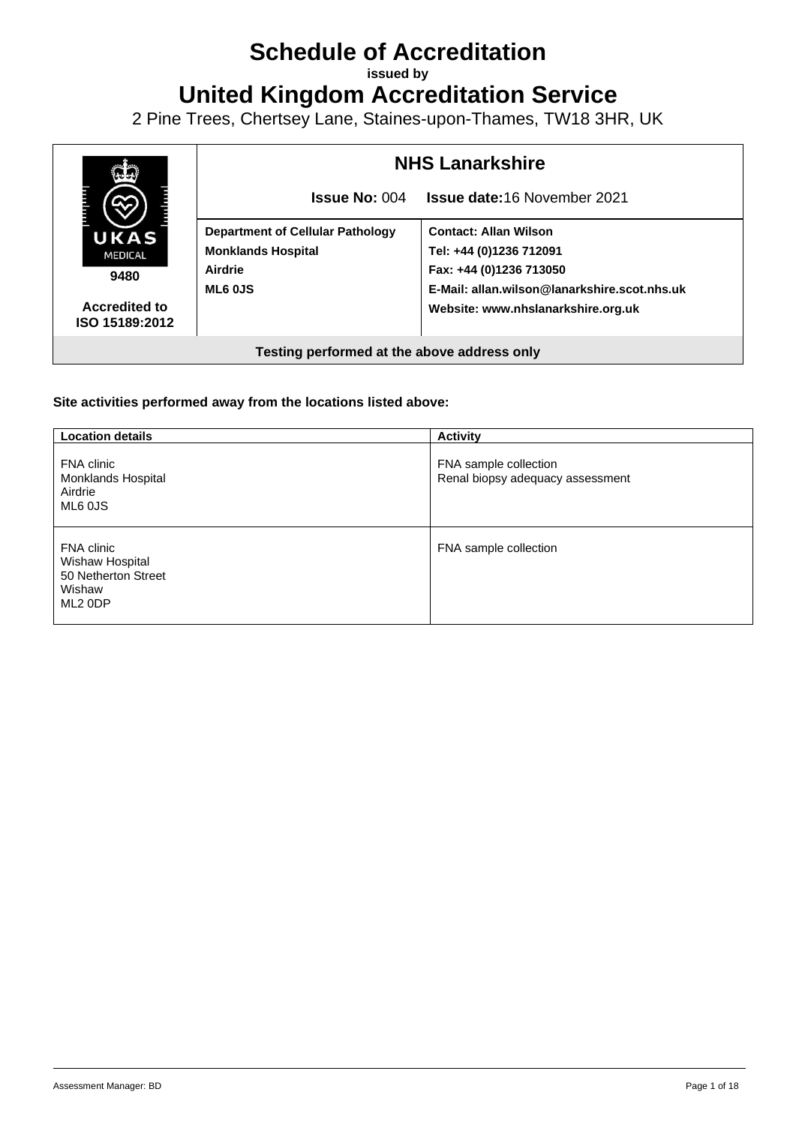# **Schedule of Accreditation**

**issued by**

**United Kingdom Accreditation Service**

2 Pine Trees, Chertsey Lane, Staines-upon-Thames, TW18 3HR, UK



#### **Site activities performed away from the locations listed above:**

| <b>Location details</b>                                                               | <b>Activity</b>                                           |
|---------------------------------------------------------------------------------------|-----------------------------------------------------------|
| FNA clinic<br>Monklands Hospital<br>Airdrie<br>ML6 0JS                                | FNA sample collection<br>Renal biopsy adequacy assessment |
| FNA clinic<br>Wishaw Hospital<br>50 Netherton Street<br>Wishaw<br>ML <sub>2</sub> ODP | FNA sample collection                                     |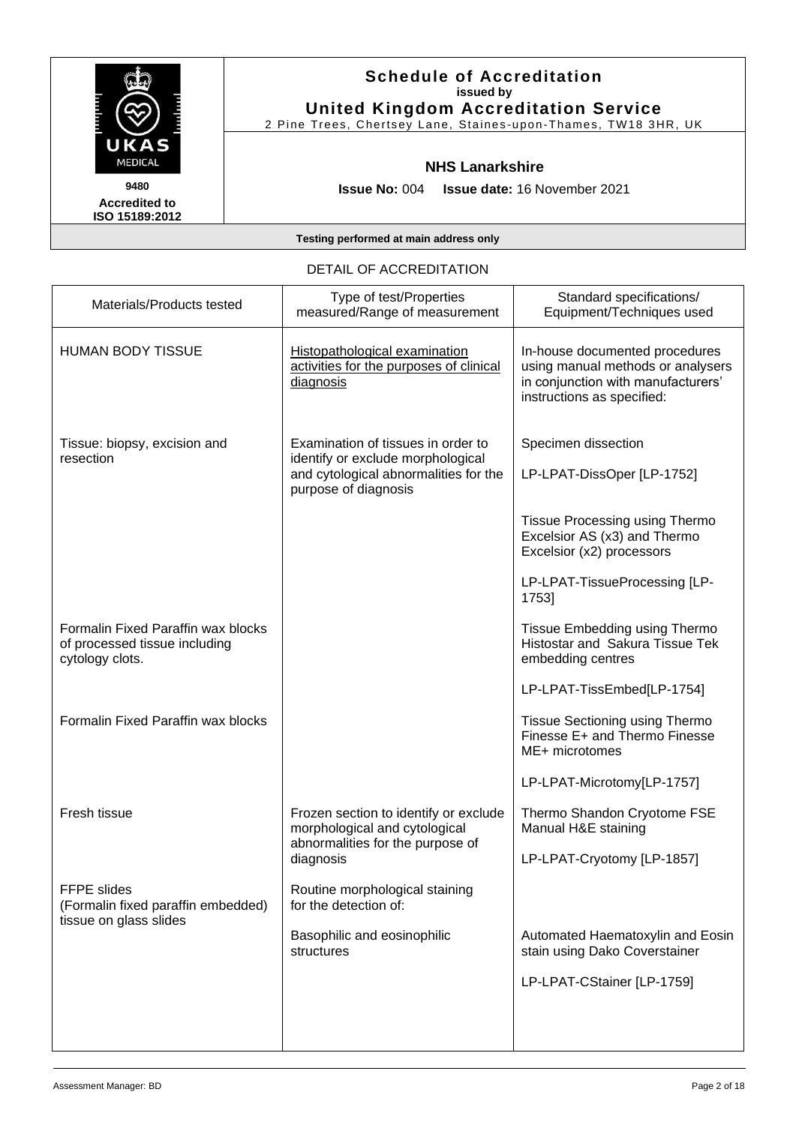

2 Pine Trees, Chertsey Lane, Staines -upon -Thames, TW18 3HR, UK

#### **NHS Lanarkshire**

**Issue No:** 004 **Issue date:** 16 November 2021

**Accredited to ISO 15189:2012** 

**Testing performed at main address only**

#### DETAIL OF ACCREDITATION

| Materials/Products tested                                                              | Type of test/Properties<br>measured/Range of measurement                                                                                 | Standard specifications/<br>Equipment/Techniques used                                                                                   |
|----------------------------------------------------------------------------------------|------------------------------------------------------------------------------------------------------------------------------------------|-----------------------------------------------------------------------------------------------------------------------------------------|
| <b>HUMAN BODY TISSUE</b>                                                               | Histopathological examination<br>activities for the purposes of clinical<br>diagnosis                                                    | In-house documented procedures<br>using manual methods or analysers<br>in conjunction with manufacturers'<br>instructions as specified: |
| Tissue: biopsy, excision and<br>resection                                              | Examination of tissues in order to<br>identify or exclude morphological<br>and cytological abnormalities for the<br>purpose of diagnosis | Specimen dissection<br>LP-LPAT-DissOper [LP-1752]                                                                                       |
|                                                                                        |                                                                                                                                          | Tissue Processing using Thermo<br>Excelsior AS (x3) and Thermo<br>Excelsior (x2) processors                                             |
|                                                                                        |                                                                                                                                          | LP-LPAT-TissueProcessing [LP-<br>1753]                                                                                                  |
| Formalin Fixed Paraffin wax blocks<br>of processed tissue including<br>cytology clots. |                                                                                                                                          | Tissue Embedding using Thermo<br>Histostar and Sakura Tissue Tek<br>embedding centres                                                   |
|                                                                                        |                                                                                                                                          | LP-LPAT-TissEmbed[LP-1754]                                                                                                              |
| Formalin Fixed Paraffin wax blocks                                                     |                                                                                                                                          | Tissue Sectioning using Thermo<br>Finesse E+ and Thermo Finesse<br>ME+ microtomes                                                       |
|                                                                                        |                                                                                                                                          | LP-LPAT-Microtomy[LP-1757]                                                                                                              |
| Fresh tissue                                                                           | Frozen section to identify or exclude<br>morphological and cytological<br>abnormalities for the purpose of                               | Thermo Shandon Cryotome FSE<br>Manual H&E staining                                                                                      |
|                                                                                        | diagnosis                                                                                                                                | LP-LPAT-Cryotomy [LP-1857]                                                                                                              |
| FFPE slides<br>(Formalin fixed paraffin embedded)<br>tissue on glass slides            | Routine morphological staining<br>for the detection of:                                                                                  |                                                                                                                                         |
|                                                                                        | Basophilic and eosinophilic<br>structures                                                                                                | Automated Haematoxylin and Eosin<br>stain using Dako Coverstainer                                                                       |
|                                                                                        |                                                                                                                                          | LP-LPAT-CStainer [LP-1759]                                                                                                              |
|                                                                                        |                                                                                                                                          |                                                                                                                                         |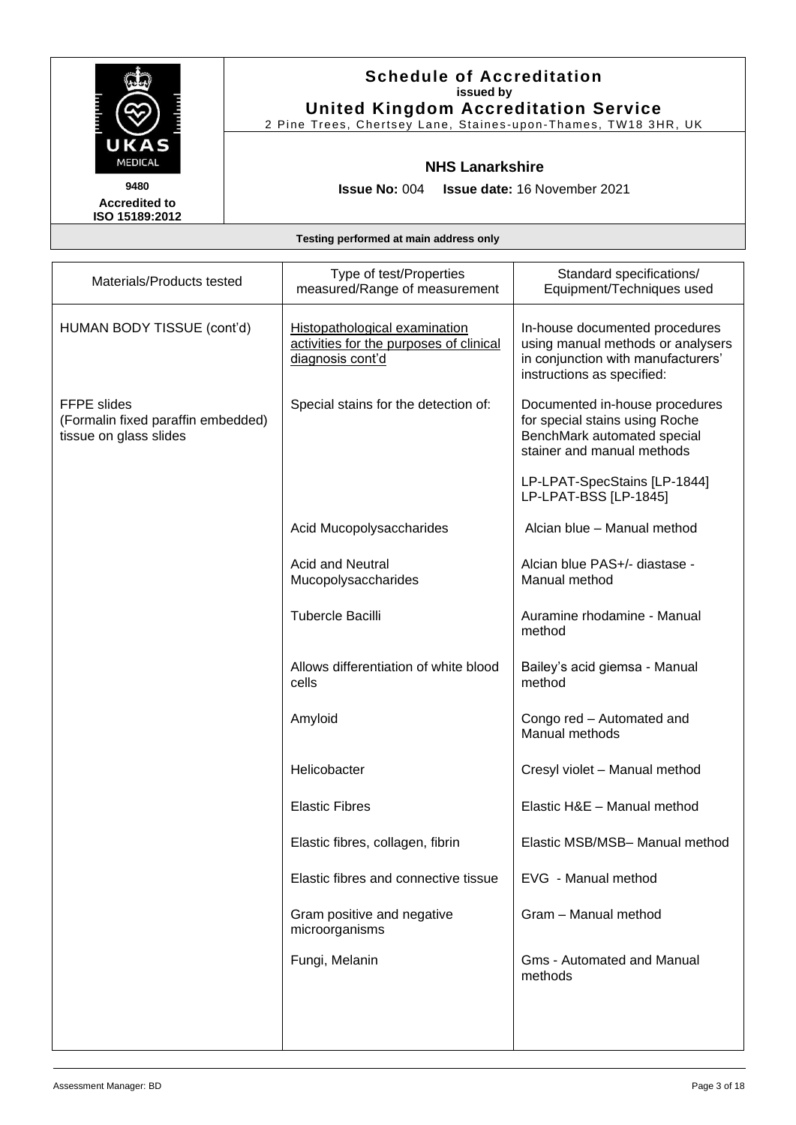

2 Pine Trees, Chertsey Lane, Staines -upon -Thames, TW18 3HR, UK

### **NHS Lanarkshire**

**Issue No:** 004 **Issue date:** 16 November 2021

**Accredited to ISO 15189:2012** 

| Materials/Products tested                                                          | Type of test/Properties<br>measured/Range of measurement                                     | Standard specifications/<br>Equipment/Techniques used                                                                                   |
|------------------------------------------------------------------------------------|----------------------------------------------------------------------------------------------|-----------------------------------------------------------------------------------------------------------------------------------------|
| HUMAN BODY TISSUE (cont'd)                                                         | Histopathological examination<br>activities for the purposes of clinical<br>diagnosis cont'd | In-house documented procedures<br>using manual methods or analysers<br>in conjunction with manufacturers'<br>instructions as specified: |
| <b>FFPE</b> slides<br>(Formalin fixed paraffin embedded)<br>tissue on glass slides | Special stains for the detection of:                                                         | Documented in-house procedures<br>for special stains using Roche<br>BenchMark automated special<br>stainer and manual methods           |
|                                                                                    |                                                                                              | LP-LPAT-SpecStains [LP-1844]<br>LP-LPAT-BSS [LP-1845]                                                                                   |
|                                                                                    | Acid Mucopolysaccharides                                                                     | Alcian blue - Manual method                                                                                                             |
|                                                                                    | <b>Acid and Neutral</b><br>Mucopolysaccharides                                               | Alcian blue PAS+/- diastase -<br>Manual method                                                                                          |
|                                                                                    | <b>Tubercle Bacilli</b>                                                                      | Auramine rhodamine - Manual<br>method                                                                                                   |
|                                                                                    | Allows differentiation of white blood<br>cells                                               | Bailey's acid giemsa - Manual<br>method                                                                                                 |
|                                                                                    | Amyloid                                                                                      | Congo red - Automated and<br>Manual methods                                                                                             |
|                                                                                    | Helicobacter                                                                                 | Cresyl violet - Manual method                                                                                                           |
|                                                                                    | <b>Elastic Fibres</b>                                                                        | Elastic H&E - Manual method                                                                                                             |
|                                                                                    | Elastic fibres, collagen, fibrin                                                             | Elastic MSB/MSB-Manual method                                                                                                           |
|                                                                                    | Elastic fibres and connective tissue                                                         | EVG - Manual method                                                                                                                     |
|                                                                                    | Gram positive and negative<br>microorganisms                                                 | Gram - Manual method                                                                                                                    |
|                                                                                    | Fungi, Melanin                                                                               | <b>Gms - Automated and Manual</b><br>methods                                                                                            |
|                                                                                    |                                                                                              |                                                                                                                                         |
|                                                                                    |                                                                                              |                                                                                                                                         |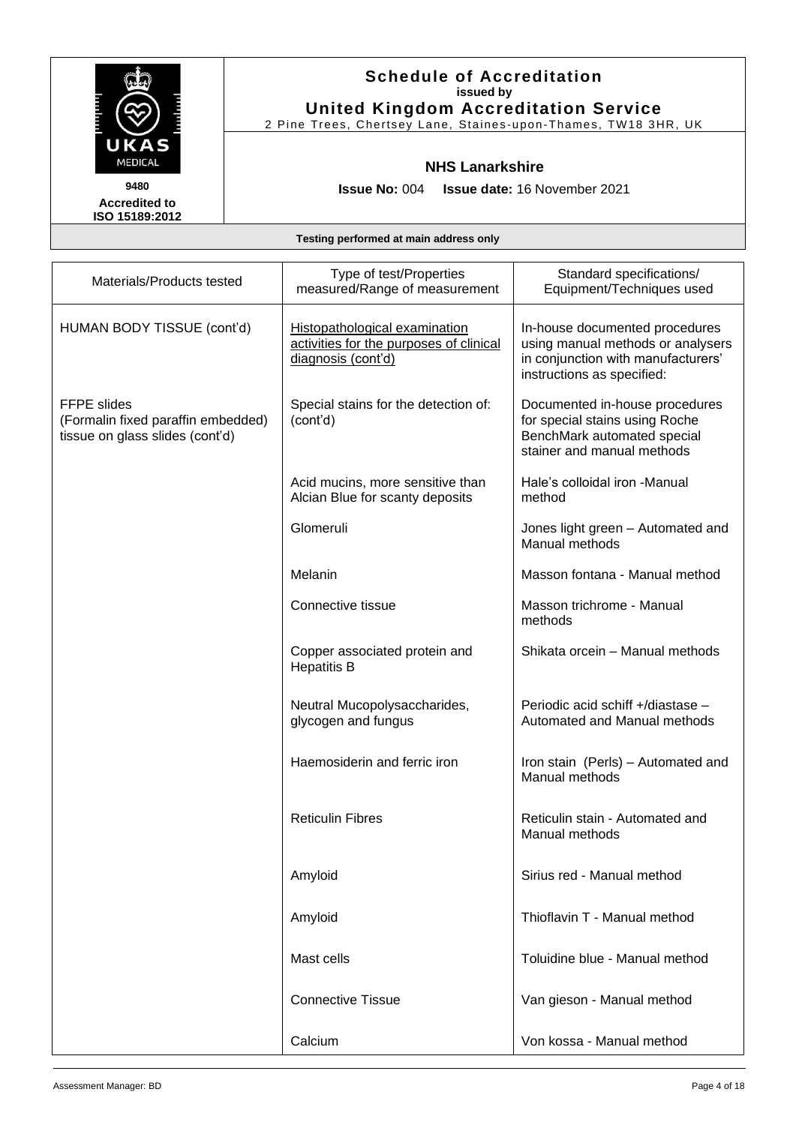

## **Schedule of Accreditation issued by United Kingdom Accreditation Service**

2 Pine Trees, Chertsey Lane, Staines -upon -Thames, TW18 3HR, UK

### **NHS Lanarkshire**

**Issue No:** 004 **Issue date:** 16 November 2021

| Materials/Products tested                                                                   | Type of test/Properties<br>measured/Range of measurement                                              | Standard specifications/<br>Equipment/Techniques used                                                                                   |
|---------------------------------------------------------------------------------------------|-------------------------------------------------------------------------------------------------------|-----------------------------------------------------------------------------------------------------------------------------------------|
| HUMAN BODY TISSUE (cont'd)                                                                  | <b>Histopathological examination</b><br>activities for the purposes of clinical<br>diagnosis (cont'd) | In-house documented procedures<br>using manual methods or analysers<br>in conjunction with manufacturers'<br>instructions as specified: |
| <b>FFPE</b> slides<br>(Formalin fixed paraffin embedded)<br>tissue on glass slides (cont'd) | Special stains for the detection of:<br>(cont'd)                                                      | Documented in-house procedures<br>for special stains using Roche<br>BenchMark automated special<br>stainer and manual methods           |
|                                                                                             | Acid mucins, more sensitive than<br>Alcian Blue for scanty deposits                                   | Hale's colloidal iron -Manual<br>method                                                                                                 |
|                                                                                             | Glomeruli                                                                                             | Jones light green - Automated and<br>Manual methods                                                                                     |
|                                                                                             | Melanin                                                                                               | Masson fontana - Manual method                                                                                                          |
|                                                                                             | Connective tissue                                                                                     | Masson trichrome - Manual<br>methods                                                                                                    |
|                                                                                             | Copper associated protein and<br><b>Hepatitis B</b>                                                   | Shikata orcein - Manual methods                                                                                                         |
|                                                                                             | Neutral Mucopolysaccharides,<br>glycogen and fungus                                                   | Periodic acid schiff +/diastase -<br>Automated and Manual methods                                                                       |
|                                                                                             | Haemosiderin and ferric iron                                                                          | Iron stain (Perls) - Automated and<br>Manual methods                                                                                    |
|                                                                                             | <b>Reticulin Fibres</b>                                                                               | Reticulin stain - Automated and<br>Manual methods                                                                                       |
|                                                                                             | Amyloid                                                                                               | Sirius red - Manual method                                                                                                              |
|                                                                                             | Amyloid                                                                                               | Thioflavin T - Manual method                                                                                                            |
|                                                                                             | Mast cells                                                                                            | Toluidine blue - Manual method                                                                                                          |
|                                                                                             | <b>Connective Tissue</b>                                                                              | Van gieson - Manual method                                                                                                              |
|                                                                                             | Calcium                                                                                               | Von kossa - Manual method                                                                                                               |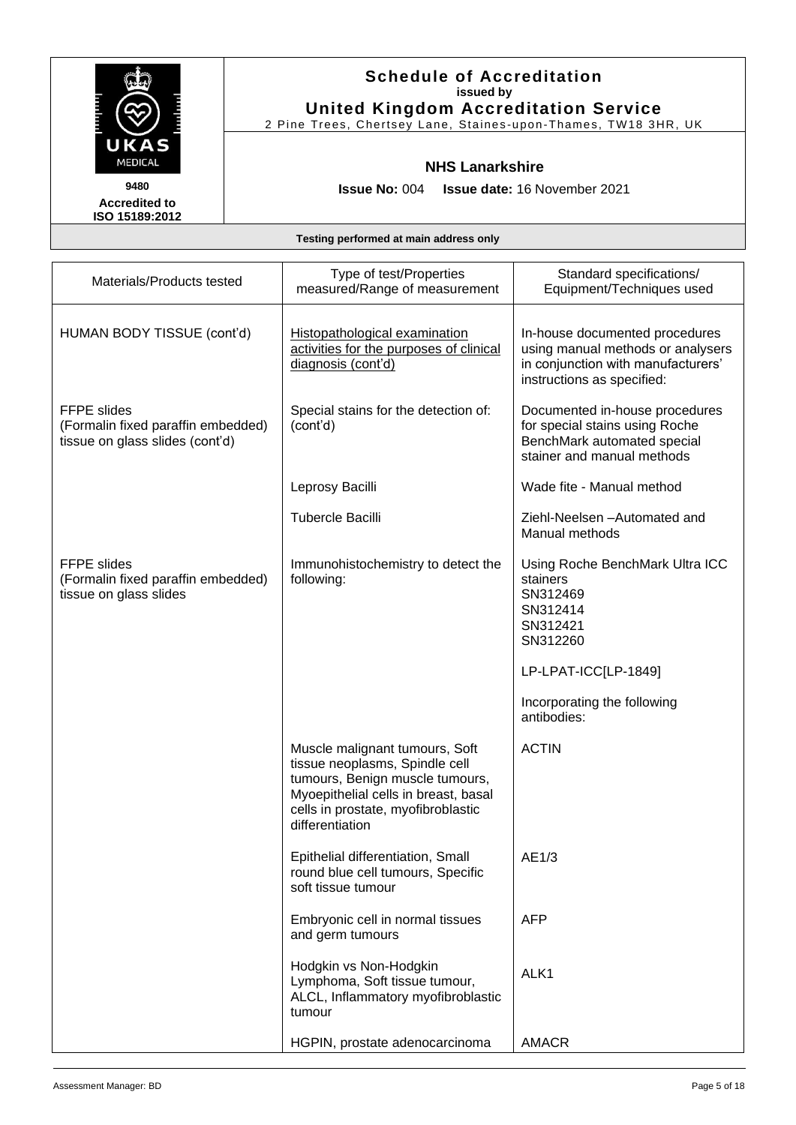

## **Schedule of Accreditation issued by United Kingdom Accreditation Service**

2 Pine Trees, Chertsey Lane, Staines -upon -Thames, TW18 3HR, UK

#### **NHS Lanarkshire**

**Issue No:** 004 **Issue date:** 16 November 2021

| Materials/Products tested                                                                   | Type of test/Properties<br>measured/Range of measurement                                                                                                                          | Standard specifications/<br>Equipment/Techniques used                                                                                              |
|---------------------------------------------------------------------------------------------|-----------------------------------------------------------------------------------------------------------------------------------------------------------------------------------|----------------------------------------------------------------------------------------------------------------------------------------------------|
| HUMAN BODY TISSUE (cont'd)                                                                  | <b>Histopathological examination</b><br>activities for the purposes of clinical<br>diagnosis (cont'd)                                                                             | In-house documented procedures<br>using manual methods or analysers<br>in conjunction with manufacturers'<br>instructions as specified:            |
| <b>FFPE</b> slides<br>(Formalin fixed paraffin embedded)<br>tissue on glass slides (cont'd) | Special stains for the detection of:<br>(cont'd)                                                                                                                                  | Documented in-house procedures<br>for special stains using Roche<br>BenchMark automated special<br>stainer and manual methods                      |
|                                                                                             | Leprosy Bacilli                                                                                                                                                                   | Wade fite - Manual method                                                                                                                          |
|                                                                                             | <b>Tubercle Bacilli</b>                                                                                                                                                           | Ziehl-Neelsen - Automated and<br>Manual methods                                                                                                    |
| <b>FFPE slides</b><br>(Formalin fixed paraffin embedded)<br>tissue on glass slides          | Immunohistochemistry to detect the<br>following:                                                                                                                                  | Using Roche BenchMark Ultra ICC<br>stainers<br>SN312469<br>SN312414<br>SN312421<br>SN312260<br>LP-LPAT-ICC[LP-1849]<br>Incorporating the following |
|                                                                                             | Muscle malignant tumours, Soft<br>tissue neoplasms, Spindle cell<br>tumours, Benign muscle tumours,<br>Myoepithelial cells in breast, basal<br>cells in prostate, myofibroblastic | antibodies:<br><b>ACTIN</b>                                                                                                                        |
|                                                                                             | differentiation                                                                                                                                                                   |                                                                                                                                                    |
|                                                                                             | Epithelial differentiation, Small<br>round blue cell tumours, Specific<br>soft tissue tumour                                                                                      | AE1/3                                                                                                                                              |
|                                                                                             | Embryonic cell in normal tissues<br>and germ tumours                                                                                                                              | <b>AFP</b>                                                                                                                                         |
|                                                                                             | Hodgkin vs Non-Hodgkin<br>Lymphoma, Soft tissue tumour,<br>ALCL, Inflammatory myofibroblastic<br>tumour                                                                           | ALK1                                                                                                                                               |
|                                                                                             | HGPIN, prostate adenocarcinoma                                                                                                                                                    | <b>AMACR</b>                                                                                                                                       |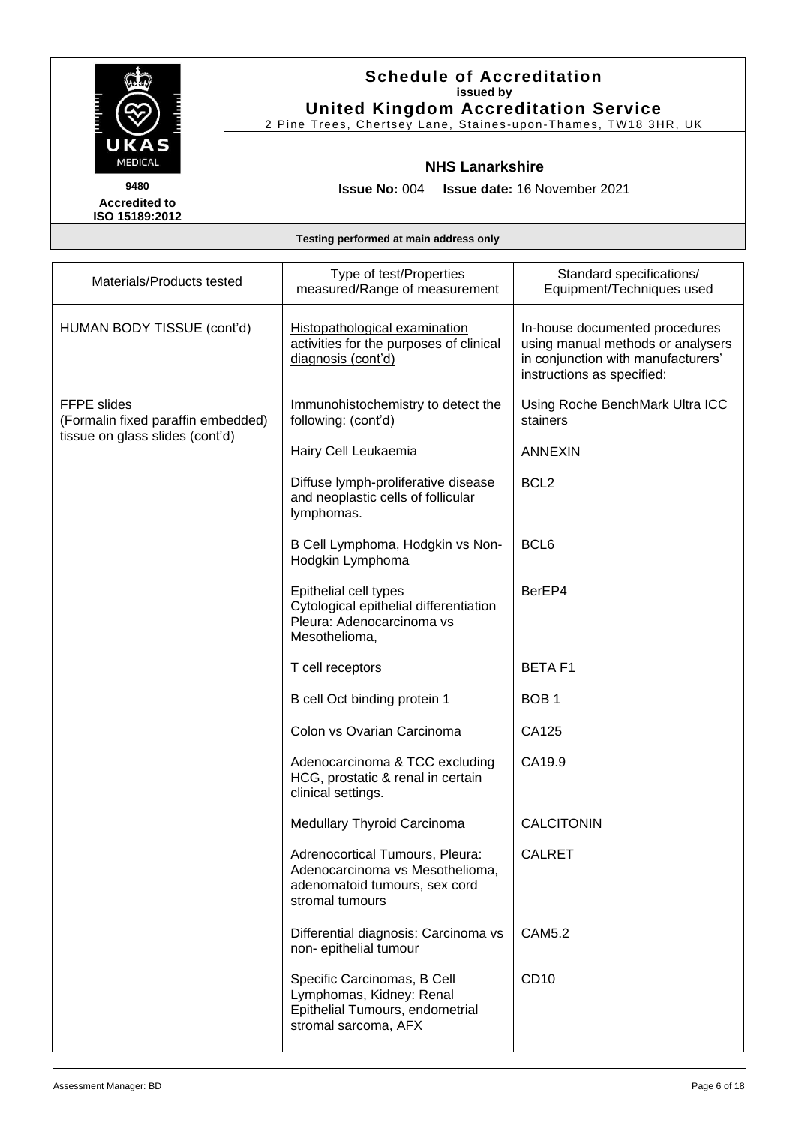

2 Pine Trees, Chertsey Lane, Staines -upon -Thames, TW18 3HR, UK

#### **NHS Lanarkshire**

**Issue No:** 004 **Issue date:** 16 November 2021

**Accredited to ISO 15189:2012** 

| Materials/Products tested                                                                   | Type of test/Properties<br>measured/Range of measurement                                                               | Standard specifications/<br>Equipment/Techniques used                                                                                   |
|---------------------------------------------------------------------------------------------|------------------------------------------------------------------------------------------------------------------------|-----------------------------------------------------------------------------------------------------------------------------------------|
| HUMAN BODY TISSUE (cont'd)                                                                  | Histopathological examination<br>activities for the purposes of clinical<br>diagnosis (cont'd)                         | In-house documented procedures<br>using manual methods or analysers<br>in conjunction with manufacturers'<br>instructions as specified: |
| <b>FFPE</b> slides<br>(Formalin fixed paraffin embedded)<br>tissue on glass slides (cont'd) | Immunohistochemistry to detect the<br>following: (cont'd)                                                              | Using Roche BenchMark Ultra ICC<br>stainers                                                                                             |
|                                                                                             | Hairy Cell Leukaemia                                                                                                   | <b>ANNEXIN</b>                                                                                                                          |
|                                                                                             | Diffuse lymph-proliferative disease<br>and neoplastic cells of follicular<br>lymphomas.                                | BCL <sub>2</sub>                                                                                                                        |
|                                                                                             | B Cell Lymphoma, Hodgkin vs Non-<br>Hodgkin Lymphoma                                                                   | BCL <sub>6</sub>                                                                                                                        |
|                                                                                             | Epithelial cell types<br>Cytological epithelial differentiation<br>Pleura: Adenocarcinoma vs<br>Mesothelioma,          | BerEP4                                                                                                                                  |
|                                                                                             | T cell receptors                                                                                                       | <b>BETAF1</b>                                                                                                                           |
|                                                                                             | B cell Oct binding protein 1                                                                                           | BOB <sub>1</sub>                                                                                                                        |
|                                                                                             | Colon vs Ovarian Carcinoma                                                                                             | CA125                                                                                                                                   |
|                                                                                             | Adenocarcinoma & TCC excluding<br>HCG, prostatic & renal in certain<br>clinical settings.                              | CA19.9                                                                                                                                  |
|                                                                                             | <b>Medullary Thyroid Carcinoma</b>                                                                                     | <b>CALCITONIN</b>                                                                                                                       |
|                                                                                             | Adrenocortical Tumours, Pleura:<br>Adenocarcinoma vs Mesothelioma,<br>adenomatoid tumours, sex cord<br>stromal tumours | <b>CALRET</b>                                                                                                                           |
|                                                                                             | Differential diagnosis: Carcinoma vs<br>non- epithelial tumour                                                         | <b>CAM5.2</b>                                                                                                                           |
|                                                                                             | Specific Carcinomas, B Cell<br>Lymphomas, Kidney: Renal<br>Epithelial Tumours, endometrial<br>stromal sarcoma, AFX     | CD10                                                                                                                                    |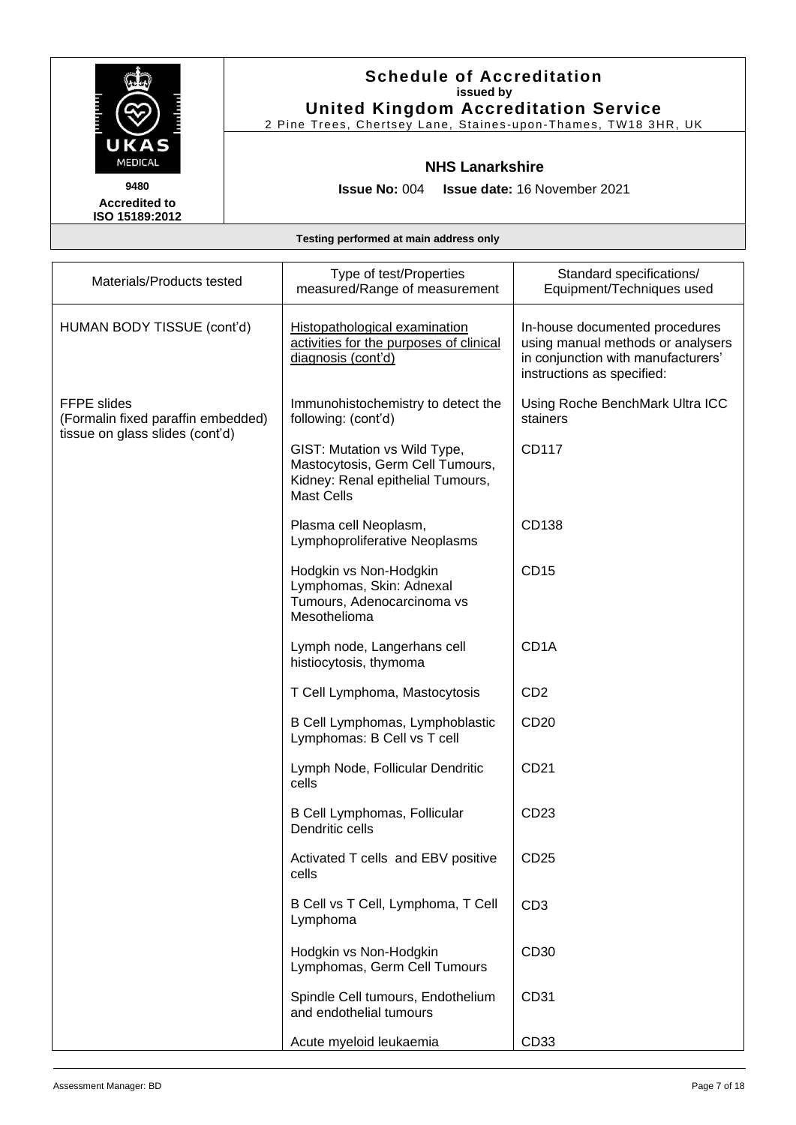

2 Pine Trees, Chertsey Lane, Staines -upon -Thames, TW18 3HR, UK

#### **NHS Lanarkshire**

**Accredited to ISO 15189:2012** 

**Issue No:** 004 **Issue date:** 16 November 2021

| Materials/Products tested                                | Type of test/Properties<br>measured/Range of measurement                                                                   | Standard specifications/<br>Equipment/Techniques used                                                                                   |
|----------------------------------------------------------|----------------------------------------------------------------------------------------------------------------------------|-----------------------------------------------------------------------------------------------------------------------------------------|
| HUMAN BODY TISSUE (cont'd)                               | Histopathological examination<br>activities for the purposes of clinical<br>diagnosis (cont'd)                             | In-house documented procedures<br>using manual methods or analysers<br>in conjunction with manufacturers'<br>instructions as specified: |
| <b>FFPE slides</b><br>(Formalin fixed paraffin embedded) | Immunohistochemistry to detect the<br>following: (cont'd)                                                                  | Using Roche BenchMark Ultra ICC<br>stainers                                                                                             |
| tissue on glass slides (cont'd)                          | GIST: Mutation vs Wild Type,<br>Mastocytosis, Germ Cell Tumours,<br>Kidney: Renal epithelial Tumours,<br><b>Mast Cells</b> | CD117                                                                                                                                   |
|                                                          | Plasma cell Neoplasm,<br>Lymphoproliferative Neoplasms                                                                     | CD138                                                                                                                                   |
|                                                          | Hodgkin vs Non-Hodgkin<br>Lymphomas, Skin: Adnexal<br>Tumours, Adenocarcinoma vs<br>Mesothelioma                           | CD15                                                                                                                                    |
|                                                          | Lymph node, Langerhans cell<br>histiocytosis, thymoma                                                                      | CD <sub>1</sub> A                                                                                                                       |
|                                                          | T Cell Lymphoma, Mastocytosis                                                                                              | CD <sub>2</sub>                                                                                                                         |
|                                                          | B Cell Lymphomas, Lymphoblastic<br>Lymphomas: B Cell vs T cell                                                             | CD <sub>20</sub>                                                                                                                        |
|                                                          | Lymph Node, Follicular Dendritic<br>cells                                                                                  | CD <sub>21</sub>                                                                                                                        |
|                                                          | B Cell Lymphomas, Follicular<br>Dendritic cells                                                                            | CD23                                                                                                                                    |
|                                                          | Activated T cells and EBV positive<br>cells                                                                                | CD <sub>25</sub>                                                                                                                        |
|                                                          | B Cell vs T Cell, Lymphoma, T Cell<br>Lymphoma                                                                             | CD <sub>3</sub>                                                                                                                         |
|                                                          | Hodgkin vs Non-Hodgkin<br>Lymphomas, Germ Cell Tumours                                                                     | CD30                                                                                                                                    |
|                                                          | Spindle Cell tumours, Endothelium<br>and endothelial tumours                                                               | CD31                                                                                                                                    |
|                                                          | Acute myeloid leukaemia                                                                                                    | CD <sub>33</sub>                                                                                                                        |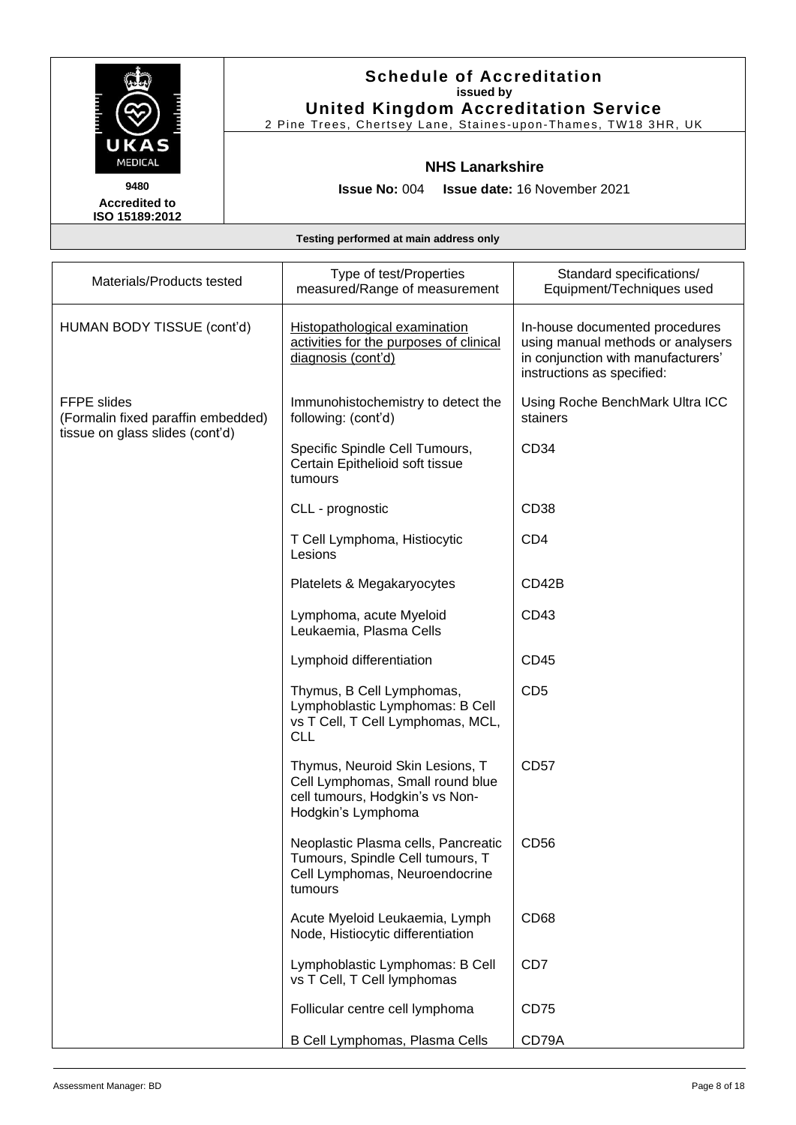

2 Pine Trees, Chertsey Lane, Staines -upon -Thames, TW18 3HR, UK

### **NHS Lanarkshire**

**Issue No:** 004 **Issue date:** 16 November 2021

**Accredited to ISO 15189:2012** 

| Materials/Products tested                         | Type of test/Properties<br>measured/Range of measurement                                                                     | Standard specifications/<br>Equipment/Techniques used                                                                                   |
|---------------------------------------------------|------------------------------------------------------------------------------------------------------------------------------|-----------------------------------------------------------------------------------------------------------------------------------------|
| HUMAN BODY TISSUE (cont'd)                        | Histopathological examination<br>activities for the purposes of clinical<br>diagnosis (cont'd)                               | In-house documented procedures<br>using manual methods or analysers<br>in conjunction with manufacturers'<br>instructions as specified: |
| FFPE slides<br>(Formalin fixed paraffin embedded) | Immunohistochemistry to detect the<br>following: (cont'd)                                                                    | Using Roche BenchMark Ultra ICC<br>stainers                                                                                             |
| tissue on glass slides (cont'd)                   | Specific Spindle Cell Tumours,<br>Certain Epithelioid soft tissue<br>tumours                                                 | CD <sub>34</sub>                                                                                                                        |
|                                                   | CLL - prognostic                                                                                                             | CD <sub>38</sub>                                                                                                                        |
|                                                   | T Cell Lymphoma, Histiocytic<br>Lesions                                                                                      | CD <sub>4</sub>                                                                                                                         |
|                                                   | Platelets & Megakaryocytes                                                                                                   | CD42B                                                                                                                                   |
|                                                   | Lymphoma, acute Myeloid<br>Leukaemia, Plasma Cells                                                                           | CD43                                                                                                                                    |
|                                                   | Lymphoid differentiation                                                                                                     | CD45                                                                                                                                    |
|                                                   | Thymus, B Cell Lymphomas,<br>Lymphoblastic Lymphomas: B Cell<br>vs T Cell, T Cell Lymphomas, MCL,<br><b>CLL</b>              | CD <sub>5</sub>                                                                                                                         |
|                                                   | Thymus, Neuroid Skin Lesions, T<br>Cell Lymphomas, Small round blue<br>cell tumours, Hodgkin's vs Non-<br>Hodgkin's Lymphoma | <b>CD57</b>                                                                                                                             |
|                                                   | Neoplastic Plasma cells, Pancreatic<br>Tumours, Spindle Cell tumours, T<br>Cell Lymphomas, Neuroendocrine<br>tumours         | CD56                                                                                                                                    |
|                                                   | Acute Myeloid Leukaemia, Lymph<br>Node, Histiocytic differentiation                                                          | CD <sub>68</sub>                                                                                                                        |
|                                                   | Lymphoblastic Lymphomas: B Cell<br>vs T Cell, T Cell lymphomas                                                               | CD7                                                                                                                                     |
|                                                   | Follicular centre cell lymphoma                                                                                              | <b>CD75</b>                                                                                                                             |
|                                                   | B Cell Lymphomas, Plasma Cells                                                                                               | CD79A                                                                                                                                   |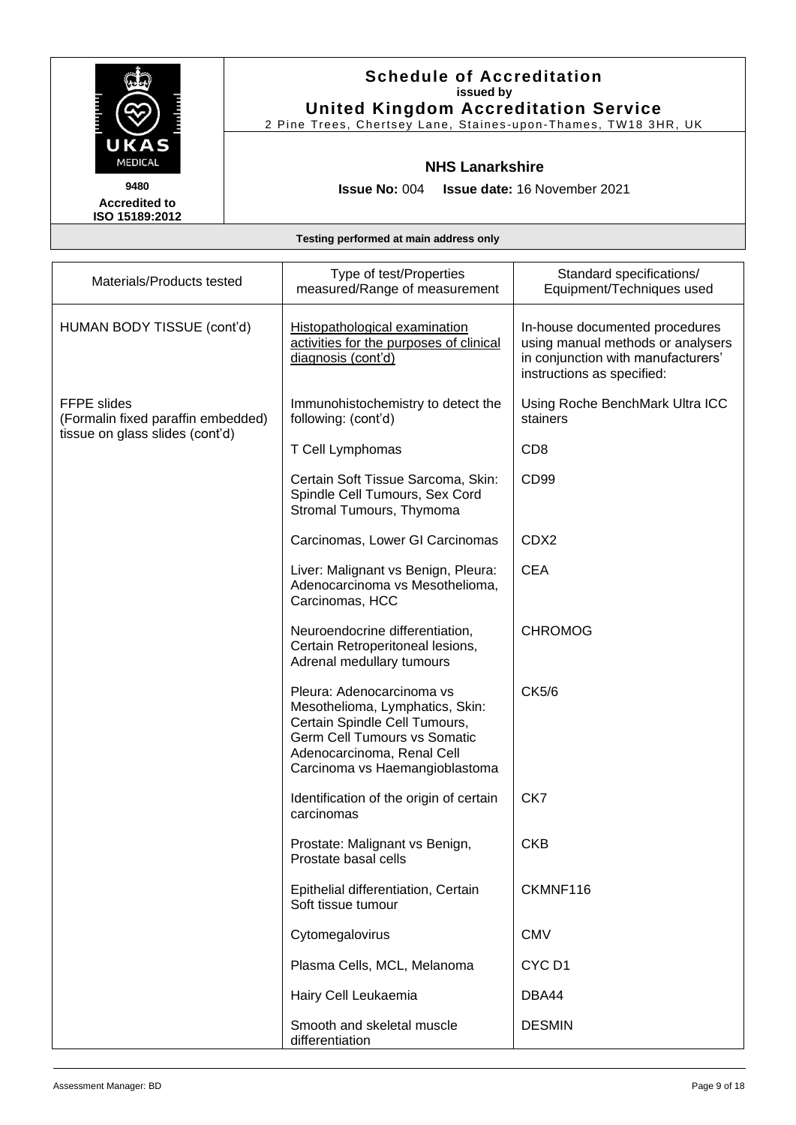

## **Schedule of Accreditation issued by United Kingdom Accreditation Service**

2 Pine Trees, Chertsey Lane, Staines -upon -Thames, TW18 3HR, UK

#### **NHS Lanarkshire**

**Issue No:** 004 **Issue date:** 16 November 2021

| Materials/Products tested                                                            | Type of test/Properties<br>measured/Range of measurement                                                                                                                                             | Standard specifications/<br>Equipment/Techniques used                                                                                   |
|--------------------------------------------------------------------------------------|------------------------------------------------------------------------------------------------------------------------------------------------------------------------------------------------------|-----------------------------------------------------------------------------------------------------------------------------------------|
| HUMAN BODY TISSUE (cont'd)                                                           | Histopathological examination<br>activities for the purposes of clinical<br>diagnosis (cont'd)                                                                                                       | In-house documented procedures<br>using manual methods or analysers<br>in conjunction with manufacturers'<br>instructions as specified: |
| FFPE slides<br>(Formalin fixed paraffin embedded)<br>tissue on glass slides (cont'd) | Immunohistochemistry to detect the<br>following: (cont'd)                                                                                                                                            | Using Roche BenchMark Ultra ICC<br>stainers                                                                                             |
|                                                                                      | T Cell Lymphomas                                                                                                                                                                                     | CD <sub>8</sub>                                                                                                                         |
|                                                                                      | Certain Soft Tissue Sarcoma, Skin:<br>Spindle Cell Tumours, Sex Cord<br>Stromal Tumours, Thymoma                                                                                                     | CD <sub>99</sub>                                                                                                                        |
|                                                                                      | Carcinomas, Lower GI Carcinomas                                                                                                                                                                      | CDX2                                                                                                                                    |
|                                                                                      | Liver: Malignant vs Benign, Pleura:<br>Adenocarcinoma vs Mesothelioma,<br>Carcinomas, HCC                                                                                                            | <b>CEA</b>                                                                                                                              |
|                                                                                      | Neuroendocrine differentiation,<br>Certain Retroperitoneal lesions,<br>Adrenal medullary tumours                                                                                                     | <b>CHROMOG</b>                                                                                                                          |
|                                                                                      | Pleura: Adenocarcinoma vs<br>Mesothelioma, Lymphatics, Skin:<br>Certain Spindle Cell Tumours,<br><b>Germ Cell Tumours vs Somatic</b><br>Adenocarcinoma, Renal Cell<br>Carcinoma vs Haemangioblastoma | CK5/6                                                                                                                                   |
|                                                                                      | Identification of the origin of certain<br>carcinomas                                                                                                                                                | CK7                                                                                                                                     |
|                                                                                      | Prostate: Malignant vs Benign,<br>Prostate basal cells                                                                                                                                               | <b>CKB</b>                                                                                                                              |
|                                                                                      | Epithelial differentiation, Certain<br>Soft tissue tumour                                                                                                                                            | CKMNF116                                                                                                                                |
|                                                                                      | Cytomegalovirus                                                                                                                                                                                      | <b>CMV</b>                                                                                                                              |
|                                                                                      | Plasma Cells, MCL, Melanoma                                                                                                                                                                          | CYC <sub>D1</sub>                                                                                                                       |
|                                                                                      | Hairy Cell Leukaemia                                                                                                                                                                                 | DBA44                                                                                                                                   |
|                                                                                      | Smooth and skeletal muscle<br>differentiation                                                                                                                                                        | <b>DESMIN</b>                                                                                                                           |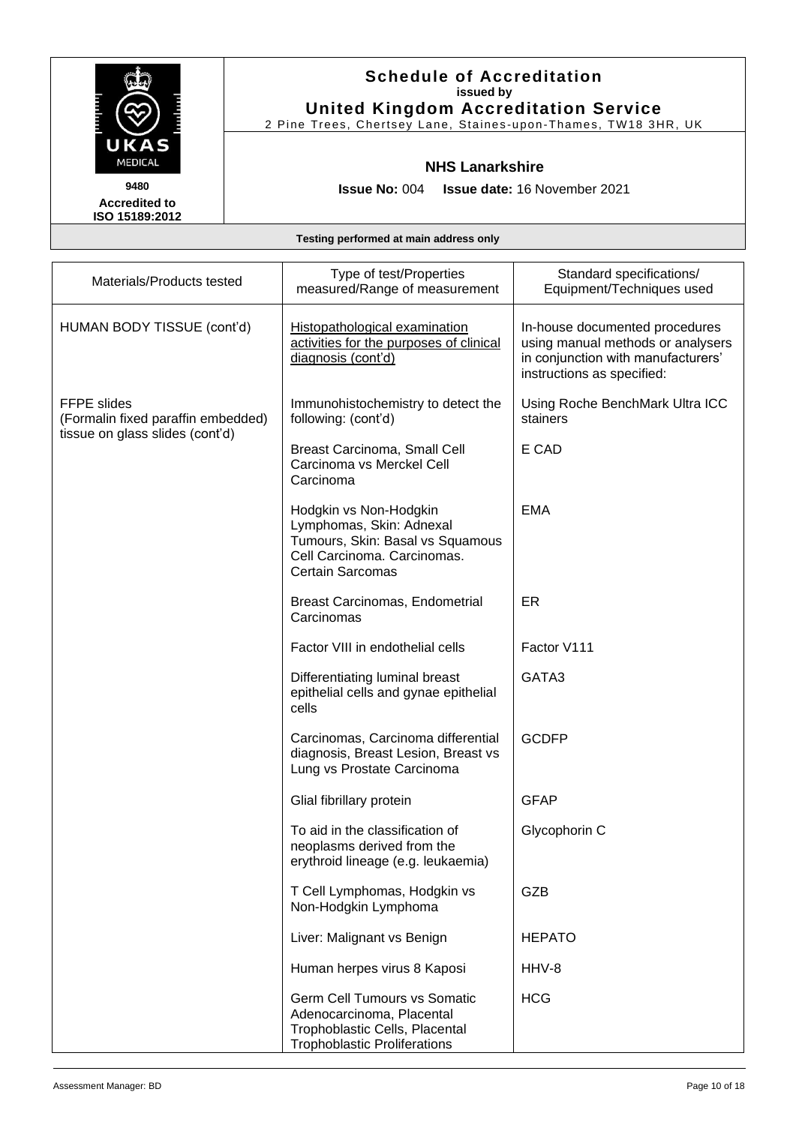

2 Pine Trees, Chertsey Lane, Staines -upon -Thames, TW18 3HR, UK

#### **NHS Lanarkshire**

**Issue No:** 004 **Issue date:** 16 November 2021

**Accredited to ISO 15189:2012** 

| Materials/Products tested                                | Type of test/Properties<br>measured/Range of measurement                                                                                  | Standard specifications/<br>Equipment/Techniques used                                                                                   |
|----------------------------------------------------------|-------------------------------------------------------------------------------------------------------------------------------------------|-----------------------------------------------------------------------------------------------------------------------------------------|
| HUMAN BODY TISSUE (cont'd)                               | Histopathological examination<br>activities for the purposes of clinical<br>diagnosis (cont'd)                                            | In-house documented procedures<br>using manual methods or analysers<br>in conjunction with manufacturers'<br>instructions as specified: |
| <b>FFPE slides</b><br>(Formalin fixed paraffin embedded) | Immunohistochemistry to detect the<br>following: (cont'd)                                                                                 | Using Roche BenchMark Ultra ICC<br>stainers                                                                                             |
| tissue on glass slides (cont'd)                          | <b>Breast Carcinoma, Small Cell</b><br>Carcinoma vs Merckel Cell<br>Carcinoma                                                             | E CAD                                                                                                                                   |
|                                                          | Hodgkin vs Non-Hodgkin<br>Lymphomas, Skin: Adnexal<br>Tumours, Skin: Basal vs Squamous<br>Cell Carcinoma. Carcinomas.<br>Certain Sarcomas | <b>EMA</b>                                                                                                                              |
|                                                          | Breast Carcinomas, Endometrial<br>Carcinomas                                                                                              | ER                                                                                                                                      |
|                                                          | Factor VIII in endothelial cells                                                                                                          | Factor V111                                                                                                                             |
|                                                          | Differentiating luminal breast<br>epithelial cells and gynae epithelial<br>cells                                                          | GATA3                                                                                                                                   |
|                                                          | Carcinomas, Carcinoma differential<br>diagnosis, Breast Lesion, Breast vs<br>Lung vs Prostate Carcinoma                                   | <b>GCDFP</b>                                                                                                                            |
|                                                          | Glial fibrillary protein                                                                                                                  | <b>GFAP</b>                                                                                                                             |
|                                                          | To aid in the classification of<br>neoplasms derived from the<br>erythroid lineage (e.g. leukaemia)                                       | Glycophorin C                                                                                                                           |
|                                                          | T Cell Lymphomas, Hodgkin vs<br>Non-Hodgkin Lymphoma                                                                                      | <b>GZB</b>                                                                                                                              |
|                                                          | Liver: Malignant vs Benign                                                                                                                | <b>HEPATO</b>                                                                                                                           |
|                                                          | Human herpes virus 8 Kaposi                                                                                                               | HHV-8                                                                                                                                   |
|                                                          | <b>Germ Cell Tumours vs Somatic</b><br>Adenocarcinoma, Placental<br>Trophoblastic Cells, Placental<br><b>Trophoblastic Proliferations</b> | <b>HCG</b>                                                                                                                              |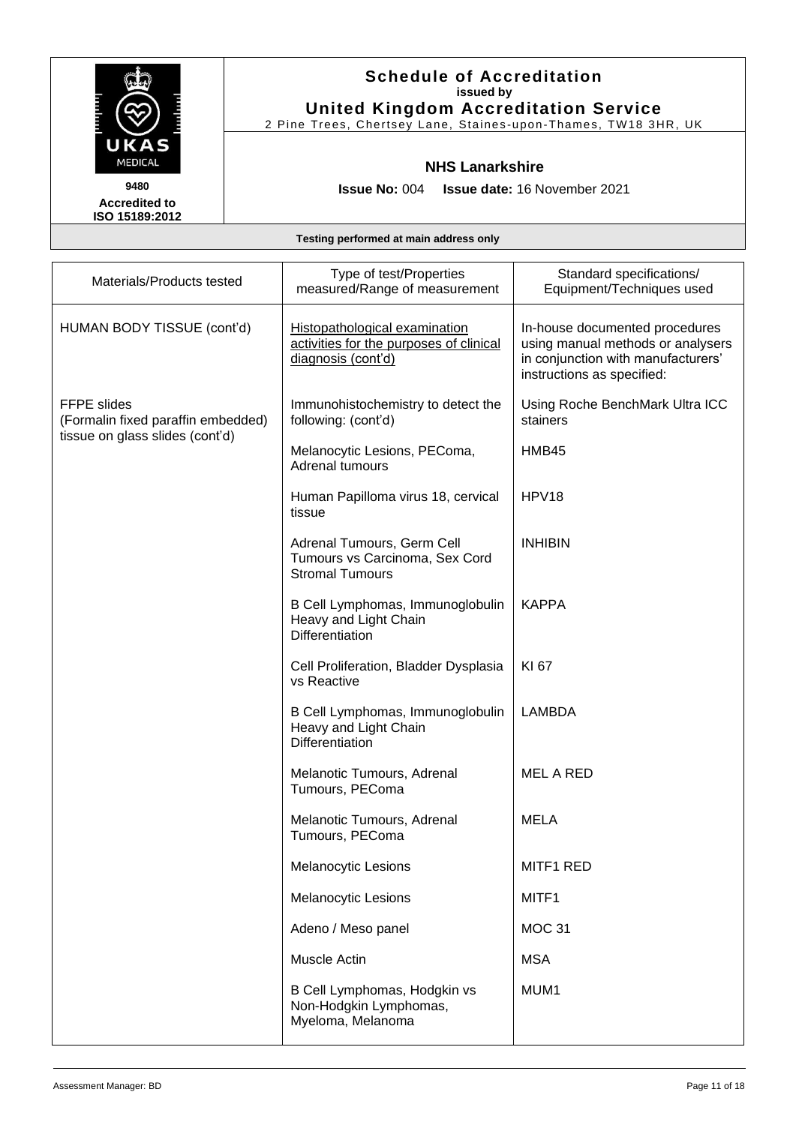

## **Schedule of Accreditation issued by United Kingdom Accreditation Service**

2 Pine Trees, Chertsey Lane, Staines -upon -Thames, TW18 3HR, UK

#### **NHS Lanarkshire**

**Issue No:** 004 **Issue date:** 16 November 2021

| Materials/Products tested                                | Type of test/Properties<br>measured/Range of measurement                                       | Standard specifications/<br>Equipment/Techniques used                                                                                   |
|----------------------------------------------------------|------------------------------------------------------------------------------------------------|-----------------------------------------------------------------------------------------------------------------------------------------|
| HUMAN BODY TISSUE (cont'd)                               | Histopathological examination<br>activities for the purposes of clinical<br>diagnosis (cont'd) | In-house documented procedures<br>using manual methods or analysers<br>in conjunction with manufacturers'<br>instructions as specified: |
| <b>FFPE</b> slides<br>(Formalin fixed paraffin embedded) | Immunohistochemistry to detect the<br>following: (cont'd)                                      | Using Roche BenchMark Ultra ICC<br>stainers                                                                                             |
| tissue on glass slides (cont'd)                          | Melanocytic Lesions, PEComa,<br>Adrenal tumours                                                | HMB45                                                                                                                                   |
|                                                          | Human Papilloma virus 18, cervical<br>tissue                                                   | HPV <sub>18</sub>                                                                                                                       |
|                                                          | Adrenal Tumours, Germ Cell<br>Tumours vs Carcinoma, Sex Cord<br><b>Stromal Tumours</b>         | <b>INHIBIN</b>                                                                                                                          |
|                                                          | B Cell Lymphomas, Immunoglobulin<br>Heavy and Light Chain<br>Differentiation                   | <b>KAPPA</b>                                                                                                                            |
|                                                          | Cell Proliferation, Bladder Dysplasia<br>vs Reactive                                           | KI 67                                                                                                                                   |
|                                                          | B Cell Lymphomas, Immunoglobulin<br>Heavy and Light Chain<br>Differentiation                   | <b>LAMBDA</b>                                                                                                                           |
|                                                          | Melanotic Tumours, Adrenal<br>Tumours, PEComa                                                  | <b>MEL A RED</b>                                                                                                                        |
|                                                          | Melanotic Tumours, Adrenal<br>Tumours, PEComa                                                  | <b>MELA</b>                                                                                                                             |
|                                                          | <b>Melanocytic Lesions</b>                                                                     | MITF1 RED                                                                                                                               |
|                                                          | Melanocytic Lesions                                                                            | MITF1                                                                                                                                   |
|                                                          | Adeno / Meso panel                                                                             | <b>MOC 31</b>                                                                                                                           |
|                                                          | Muscle Actin                                                                                   | <b>MSA</b>                                                                                                                              |
|                                                          | B Cell Lymphomas, Hodgkin vs<br>Non-Hodgkin Lymphomas,<br>Myeloma, Melanoma                    | MUM1                                                                                                                                    |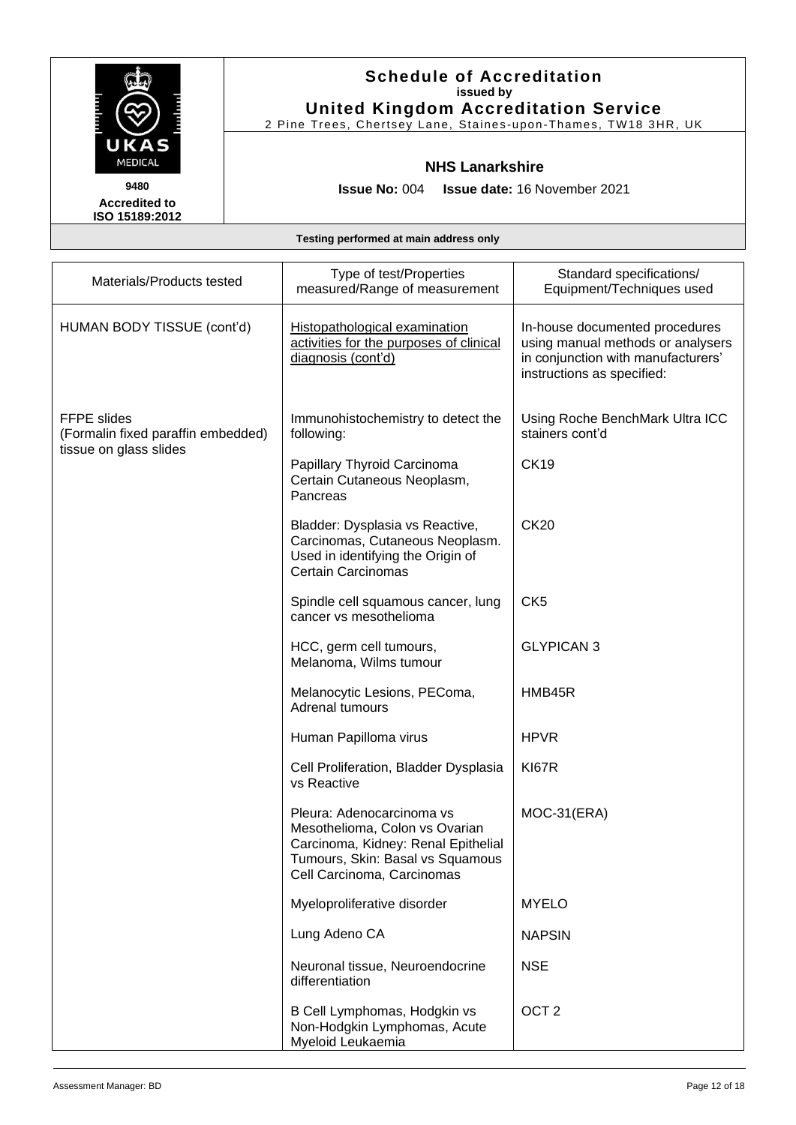

2 Pine Trees, Chertsey Lane, Staines -upon -Thames, TW18 3HR, UK

#### **NHS Lanarkshire**

**Issue No:** 004 **Issue date:** 16 November 2021

**Accredited to ISO 15189:2012** 

| Materials/Products tested                                | Type of test/Properties<br>measured/Range of measurement                                                                                                             | Standard specifications/<br>Equipment/Techniques used                                                                                   |
|----------------------------------------------------------|----------------------------------------------------------------------------------------------------------------------------------------------------------------------|-----------------------------------------------------------------------------------------------------------------------------------------|
| HUMAN BODY TISSUE (cont'd)                               | Histopathological examination<br>activities for the purposes of clinical<br>diagnosis (cont'd)                                                                       | In-house documented procedures<br>using manual methods or analysers<br>in conjunction with manufacturers'<br>instructions as specified: |
| <b>FFPE slides</b><br>(Formalin fixed paraffin embedded) | Immunohistochemistry to detect the<br>following:                                                                                                                     | Using Roche BenchMark Ultra ICC<br>stainers cont'd                                                                                      |
| tissue on glass slides                                   | Papillary Thyroid Carcinoma<br>Certain Cutaneous Neoplasm,<br>Pancreas                                                                                               | <b>CK19</b>                                                                                                                             |
|                                                          | Bladder: Dysplasia vs Reactive,<br>Carcinomas, Cutaneous Neoplasm.<br>Used in identifying the Origin of<br><b>Certain Carcinomas</b>                                 | <b>CK20</b>                                                                                                                             |
|                                                          | Spindle cell squamous cancer, lung<br>cancer vs mesothelioma                                                                                                         | CK <sub>5</sub>                                                                                                                         |
|                                                          | HCC, germ cell tumours,<br>Melanoma, Wilms tumour                                                                                                                    | <b>GLYPICAN 3</b>                                                                                                                       |
|                                                          | Melanocytic Lesions, PEComa,<br>Adrenal tumours                                                                                                                      | HMB45R                                                                                                                                  |
|                                                          | Human Papilloma virus                                                                                                                                                | <b>HPVR</b>                                                                                                                             |
|                                                          | Cell Proliferation, Bladder Dysplasia<br>vs Reactive                                                                                                                 | <b>KI67R</b>                                                                                                                            |
|                                                          | Pleura: Adenocarcinoma vs<br>Mesothelioma, Colon vs Ovarian<br>Carcinoma, Kidney: Renal Epithelial<br>Tumours, Skin: Basal vs Squamous<br>Cell Carcinoma, Carcinomas | $MOC-31(ERA)$                                                                                                                           |
|                                                          | Myeloproliferative disorder                                                                                                                                          | <b>MYELO</b>                                                                                                                            |
|                                                          | Lung Adeno CA                                                                                                                                                        | <b>NAPSIN</b>                                                                                                                           |
|                                                          | Neuronal tissue, Neuroendocrine<br>differentiation                                                                                                                   | <b>NSE</b>                                                                                                                              |
|                                                          | B Cell Lymphomas, Hodgkin vs<br>Non-Hodgkin Lymphomas, Acute<br>Myeloid Leukaemia                                                                                    | OCT <sub>2</sub>                                                                                                                        |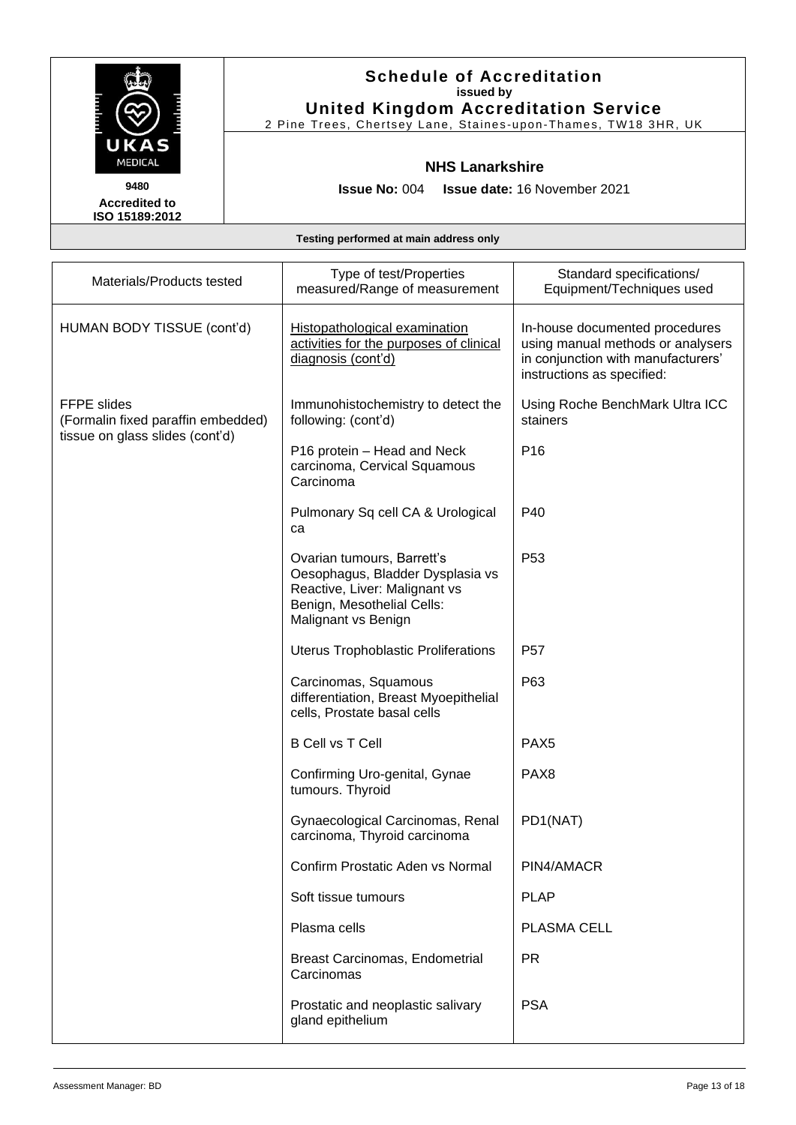

## **Schedule of Accreditation issued by United Kingdom Accreditation Service**

2 Pine Trees, Chertsey Lane, Staines -upon -Thames, TW18 3HR, UK

#### **NHS Lanarkshire**

**Issue No:** 004 **Issue date:** 16 November 2021

| Materials/Products tested                                | Type of test/Properties<br>measured/Range of measurement                                                                                             | Standard specifications/<br>Equipment/Techniques used                                                                                   |
|----------------------------------------------------------|------------------------------------------------------------------------------------------------------------------------------------------------------|-----------------------------------------------------------------------------------------------------------------------------------------|
| HUMAN BODY TISSUE (cont'd)                               | <b>Histopathological examination</b><br>activities for the purposes of clinical<br>diagnosis (cont'd)                                                | In-house documented procedures<br>using manual methods or analysers<br>in conjunction with manufacturers'<br>instructions as specified: |
| <b>FFPE</b> slides<br>(Formalin fixed paraffin embedded) | Immunohistochemistry to detect the<br>following: (cont'd)                                                                                            | Using Roche BenchMark Ultra ICC<br>stainers                                                                                             |
| tissue on glass slides (cont'd)                          | P16 protein – Head and Neck<br>carcinoma, Cervical Squamous<br>Carcinoma                                                                             | P <sub>16</sub>                                                                                                                         |
|                                                          | Pulmonary Sq cell CA & Urological<br>ca                                                                                                              | P40                                                                                                                                     |
|                                                          | Ovarian tumours, Barrett's<br>Oesophagus, Bladder Dysplasia vs<br>Reactive, Liver: Malignant vs<br>Benign, Mesothelial Cells:<br>Malignant vs Benign | P <sub>53</sub>                                                                                                                         |
|                                                          | Uterus Trophoblastic Proliferations                                                                                                                  | P <sub>57</sub>                                                                                                                         |
|                                                          | Carcinomas, Squamous<br>differentiation, Breast Myoepithelial<br>cells, Prostate basal cells                                                         | P63                                                                                                                                     |
|                                                          | <b>B Cell vs T Cell</b>                                                                                                                              | PAX <sub>5</sub>                                                                                                                        |
|                                                          | Confirming Uro-genital, Gynae<br>tumours. Thyroid                                                                                                    | PAX <sub>8</sub>                                                                                                                        |
|                                                          | Gynaecological Carcinomas, Renal<br>carcinoma, Thyroid carcinoma                                                                                     | PD1(NAT)                                                                                                                                |
|                                                          | Confirm Prostatic Aden vs Normal                                                                                                                     | PIN4/AMACR                                                                                                                              |
|                                                          | Soft tissue tumours                                                                                                                                  | <b>PLAP</b>                                                                                                                             |
|                                                          | Plasma cells                                                                                                                                         | PLASMA CELL                                                                                                                             |
|                                                          | Breast Carcinomas, Endometrial<br>Carcinomas                                                                                                         | <b>PR</b>                                                                                                                               |
|                                                          | Prostatic and neoplastic salivary<br>gland epithelium                                                                                                | <b>PSA</b>                                                                                                                              |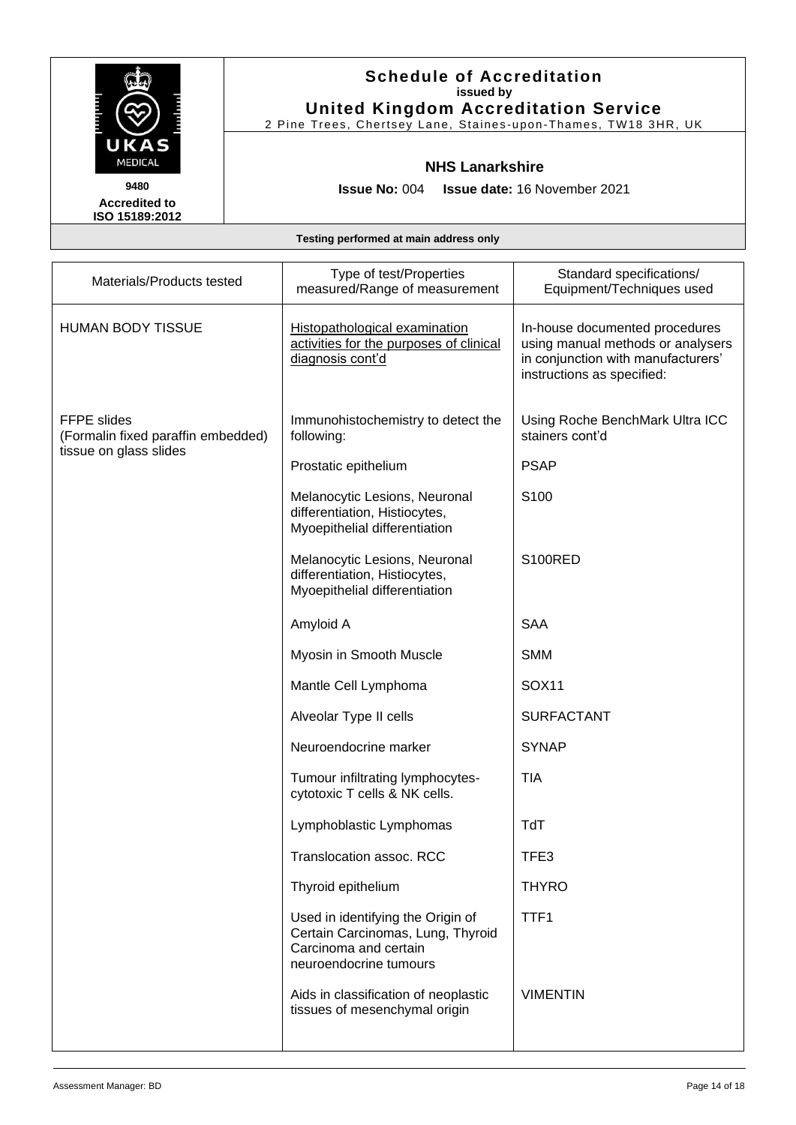

## **Schedule of Accreditation issued by United Kingdom Accreditation Service**

2 Pine Trees, Chertsey Lane, Staines -upon -Thames, TW18 3HR, UK

#### **NHS Lanarkshire**

**Issue No:** 004 **Issue date:** 16 November 2021

| Materials/Products tested                                                          | Type of test/Properties<br>measured/Range of measurement                                                                  | Standard specifications/<br>Equipment/Techniques used                                                                                   |
|------------------------------------------------------------------------------------|---------------------------------------------------------------------------------------------------------------------------|-----------------------------------------------------------------------------------------------------------------------------------------|
| <b>HUMAN BODY TISSUE</b>                                                           | Histopathological examination<br>activities for the purposes of clinical<br>diagnosis cont'd                              | In-house documented procedures<br>using manual methods or analysers<br>in conjunction with manufacturers'<br>instructions as specified: |
| <b>FFPE slides</b><br>(Formalin fixed paraffin embedded)<br>tissue on glass slides | Immunohistochemistry to detect the<br>following:                                                                          | Using Roche BenchMark Ultra ICC<br>stainers cont'd                                                                                      |
|                                                                                    | Prostatic epithelium                                                                                                      | <b>PSAP</b>                                                                                                                             |
|                                                                                    | Melanocytic Lesions, Neuronal<br>differentiation, Histiocytes,<br>Myoepithelial differentiation                           | S <sub>100</sub>                                                                                                                        |
|                                                                                    | Melanocytic Lesions, Neuronal<br>differentiation, Histiocytes,<br>Myoepithelial differentiation                           | S100RED                                                                                                                                 |
|                                                                                    | Amyloid A                                                                                                                 | <b>SAA</b>                                                                                                                              |
|                                                                                    | Myosin in Smooth Muscle                                                                                                   | <b>SMM</b>                                                                                                                              |
|                                                                                    | Mantle Cell Lymphoma                                                                                                      | <b>SOX11</b>                                                                                                                            |
|                                                                                    | Alveolar Type II cells                                                                                                    | <b>SURFACTANT</b>                                                                                                                       |
|                                                                                    | Neuroendocrine marker                                                                                                     | <b>SYNAP</b>                                                                                                                            |
|                                                                                    | Tumour infiltrating lymphocytes-<br>cytotoxic T cells & NK cells.                                                         | <b>TIA</b>                                                                                                                              |
|                                                                                    | Lymphoblastic Lymphomas                                                                                                   | TdT                                                                                                                                     |
|                                                                                    | Translocation assoc. RCC                                                                                                  | TFE3                                                                                                                                    |
|                                                                                    | Thyroid epithelium                                                                                                        | <b>THYRO</b>                                                                                                                            |
|                                                                                    | Used in identifying the Origin of<br>Certain Carcinomas, Lung, Thyroid<br>Carcinoma and certain<br>neuroendocrine tumours | TTF1                                                                                                                                    |
|                                                                                    | Aids in classification of neoplastic<br>tissues of mesenchymal origin                                                     | <b>VIMENTIN</b>                                                                                                                         |
|                                                                                    |                                                                                                                           |                                                                                                                                         |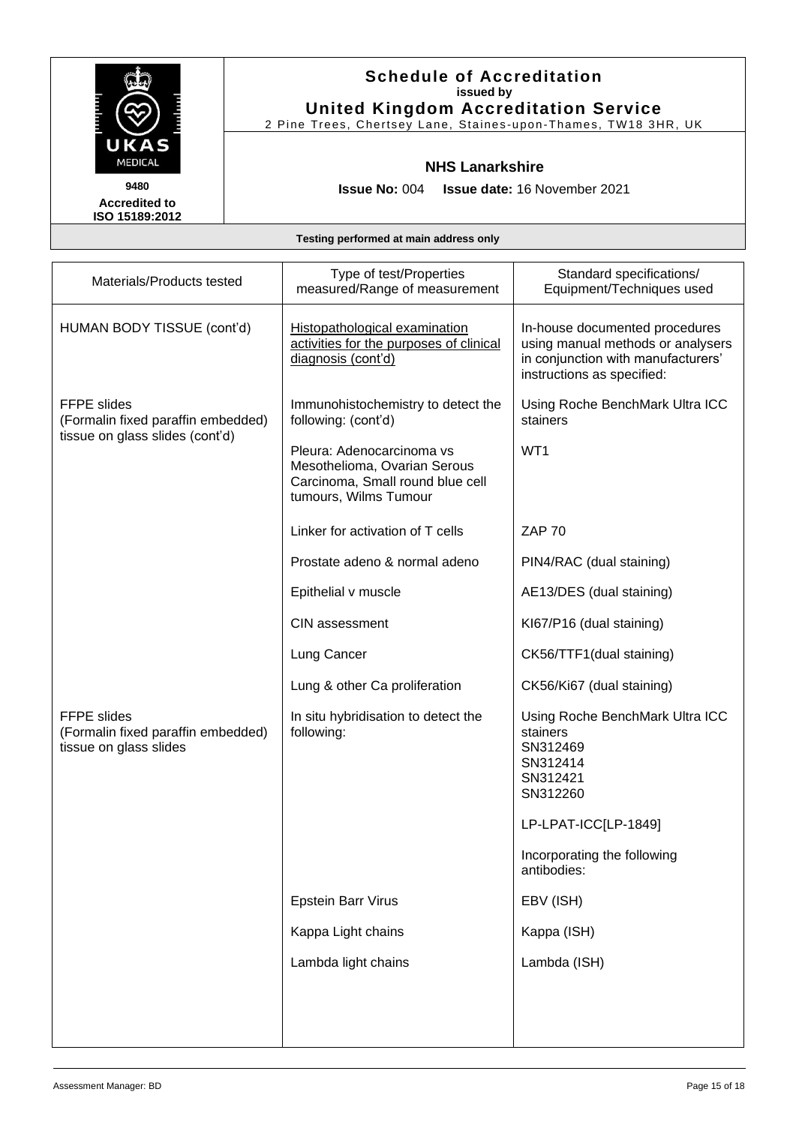

2 Pine Trees, Chertsey Lane, Staines -upon -Thames, TW18 3HR, UK

#### **NHS Lanarkshire**

**Accredited to ISO 15189:2012** 

**Issue No:** 004 **Issue date:** 16 November 2021

| Materials/Products tested                                                          | Type of test/Properties<br>measured/Range of measurement                                                               | Standard specifications/<br>Equipment/Techniques used                                                                                   |
|------------------------------------------------------------------------------------|------------------------------------------------------------------------------------------------------------------------|-----------------------------------------------------------------------------------------------------------------------------------------|
| HUMAN BODY TISSUE (cont'd)                                                         | Histopathological examination<br>activities for the purposes of clinical<br>diagnosis (cont'd)                         | In-house documented procedures<br>using manual methods or analysers<br>in conjunction with manufacturers'<br>instructions as specified: |
| <b>FFPE</b> slides<br>(Formalin fixed paraffin embedded)                           | Immunohistochemistry to detect the<br>following: (cont'd)                                                              | Using Roche BenchMark Ultra ICC<br>stainers                                                                                             |
| tissue on glass slides (cont'd)                                                    | Pleura: Adenocarcinoma vs<br>Mesothelioma, Ovarian Serous<br>Carcinoma, Small round blue cell<br>tumours, Wilms Tumour | WT1                                                                                                                                     |
|                                                                                    | Linker for activation of T cells                                                                                       | <b>ZAP 70</b>                                                                                                                           |
|                                                                                    | Prostate adeno & normal adeno                                                                                          | PIN4/RAC (dual staining)                                                                                                                |
|                                                                                    | Epithelial v muscle                                                                                                    | AE13/DES (dual staining)                                                                                                                |
|                                                                                    | <b>CIN assessment</b>                                                                                                  | KI67/P16 (dual staining)                                                                                                                |
|                                                                                    | Lung Cancer                                                                                                            | CK56/TTF1(dual staining)                                                                                                                |
|                                                                                    | Lung & other Ca proliferation                                                                                          | CK56/Ki67 (dual staining)                                                                                                               |
| <b>FFPE</b> slides<br>(Formalin fixed paraffin embedded)<br>tissue on glass slides | In situ hybridisation to detect the<br>following:                                                                      | Using Roche BenchMark Ultra ICC<br>stainers<br>SN312469<br>SN312414<br>SN312421<br>SN312260                                             |
|                                                                                    |                                                                                                                        | LP-LPAT-ICC[LP-1849]                                                                                                                    |
|                                                                                    |                                                                                                                        | Incorporating the following<br>antibodies:                                                                                              |
|                                                                                    | <b>Epstein Barr Virus</b>                                                                                              | EBV (ISH)                                                                                                                               |
|                                                                                    | Kappa Light chains                                                                                                     | Kappa (ISH)                                                                                                                             |
|                                                                                    | Lambda light chains                                                                                                    | Lambda (ISH)                                                                                                                            |
|                                                                                    |                                                                                                                        |                                                                                                                                         |
|                                                                                    |                                                                                                                        |                                                                                                                                         |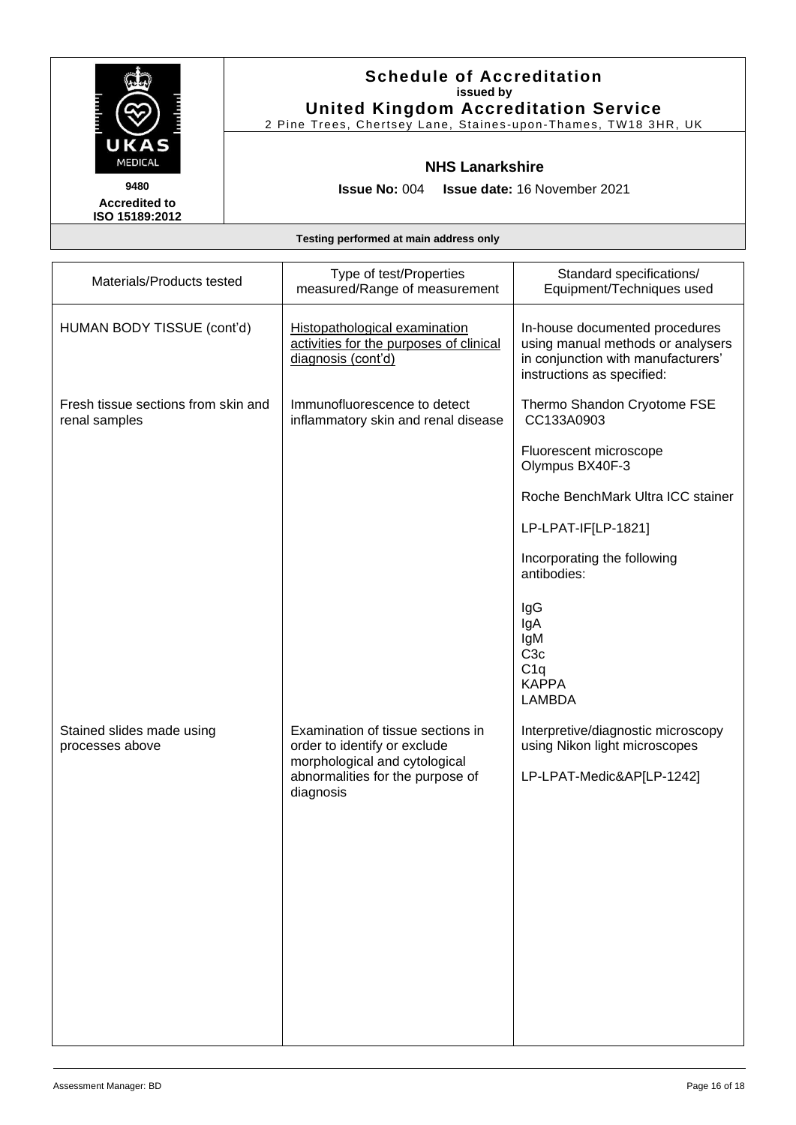

2 Pine Trees, Chertsey Lane, Staines -upon -Thames, TW18 3HR, UK

### **NHS Lanarkshire**

**Issue No:** 004 **Issue date:** 16 November 2021

**Accredited to ISO 15189:2012** 

| Materials/Products tested                            | Type of test/Properties<br>measured/Range of measurement                                       | Standard specifications/<br>Equipment/Techniques used                                                                                   |
|------------------------------------------------------|------------------------------------------------------------------------------------------------|-----------------------------------------------------------------------------------------------------------------------------------------|
| HUMAN BODY TISSUE (cont'd)                           | Histopathological examination<br>activities for the purposes of clinical<br>diagnosis (cont'd) | In-house documented procedures<br>using manual methods or analysers<br>in conjunction with manufacturers'<br>instructions as specified: |
| Fresh tissue sections from skin and<br>renal samples | Immunofluorescence to detect<br>inflammatory skin and renal disease                            | Thermo Shandon Cryotome FSE<br>CC133A0903                                                                                               |
|                                                      |                                                                                                | Fluorescent microscope<br>Olympus BX40F-3                                                                                               |
|                                                      |                                                                                                | Roche BenchMark Ultra ICC stainer                                                                                                       |
|                                                      |                                                                                                | LP-LPAT-IF[LP-1821]                                                                                                                     |
|                                                      |                                                                                                | Incorporating the following<br>antibodies:                                                                                              |
|                                                      |                                                                                                | IgG<br>IgA<br>lgM<br>C <sub>3c</sub><br>C1q<br><b>KAPPA</b><br><b>LAMBDA</b>                                                            |
| Stained slides made using<br>processes above         | Examination of tissue sections in<br>order to identify or exclude                              | Interpretive/diagnostic microscopy<br>using Nikon light microscopes                                                                     |
|                                                      | morphological and cytological<br>abnormalities for the purpose of<br>diagnosis                 | LP-LPAT-Medic&AP[LP-1242]                                                                                                               |
|                                                      |                                                                                                |                                                                                                                                         |
|                                                      |                                                                                                |                                                                                                                                         |
|                                                      |                                                                                                |                                                                                                                                         |
|                                                      |                                                                                                |                                                                                                                                         |
|                                                      |                                                                                                |                                                                                                                                         |
|                                                      |                                                                                                |                                                                                                                                         |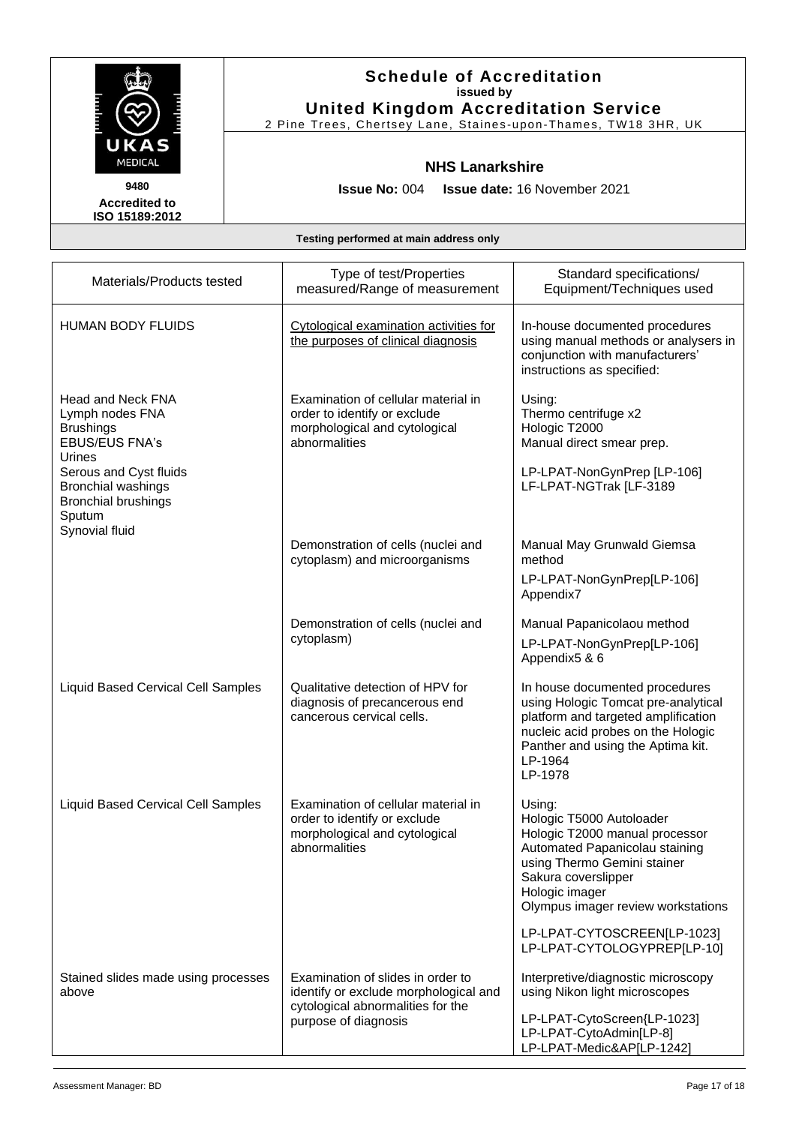

2 Pine Trees, Chertsey Lane, Staines -upon -Thames, TW18 3HR, UK

#### **NHS Lanarkshire**

**Issue No:** 004 **Issue date:** 16 November 2021

**Accredited to ISO 15189:2012** 

| Materials/Products tested                                                                                                                                                                                           | Type of test/Properties<br>measured/Range of measurement                                                                                | Standard specifications/<br>Equipment/Techniques used                                                                                                                                                                |
|---------------------------------------------------------------------------------------------------------------------------------------------------------------------------------------------------------------------|-----------------------------------------------------------------------------------------------------------------------------------------|----------------------------------------------------------------------------------------------------------------------------------------------------------------------------------------------------------------------|
| <b>HUMAN BODY FLUIDS</b>                                                                                                                                                                                            | Cytological examination activities for<br>the purposes of clinical diagnosis                                                            | In-house documented procedures<br>using manual methods or analysers in<br>conjunction with manufacturers'<br>instructions as specified:                                                                              |
| <b>Head and Neck FNA</b><br>Lymph nodes FNA<br><b>Brushings</b><br><b>EBUS/EUS FNA's</b><br>Urines<br>Serous and Cyst fluids<br><b>Bronchial washings</b><br><b>Bronchial brushings</b><br>Sputum<br>Synovial fluid | Examination of cellular material in<br>order to identify or exclude<br>morphological and cytological<br>abnormalities                   | Using:<br>Thermo centrifuge x2<br>Hologic T2000<br>Manual direct smear prep.<br>LP-LPAT-NonGynPrep [LP-106]<br>LF-LPAT-NGTrak [LF-3189                                                                               |
|                                                                                                                                                                                                                     | Demonstration of cells (nuclei and<br>cytoplasm) and microorganisms                                                                     | Manual May Grunwald Giemsa<br>method<br>LP-LPAT-NonGynPrep[LP-106]<br>Appendix7                                                                                                                                      |
|                                                                                                                                                                                                                     | Demonstration of cells (nuclei and<br>cytoplasm)                                                                                        | Manual Papanicolaou method<br>LP-LPAT-NonGynPrep[LP-106]<br>Appendix5 & 6                                                                                                                                            |
| <b>Liquid Based Cervical Cell Samples</b>                                                                                                                                                                           | Qualitative detection of HPV for<br>diagnosis of precancerous end<br>cancerous cervical cells.                                          | In house documented procedures<br>using Hologic Tomcat pre-analytical<br>platform and targeted amplification<br>nucleic acid probes on the Hologic<br>Panther and using the Aptima kit.<br>LP-1964<br>LP-1978        |
| <b>Liquid Based Cervical Cell Samples</b>                                                                                                                                                                           | Examination of cellular material in<br>order to identify or exclude<br>morphological and cytological<br>abnormalities                   | Using:<br>Hologic T5000 Autoloader<br>Hologic T2000 manual processor<br>Automated Papanicolau staining<br>using Thermo Gemini stainer<br>Sakura coverslipper<br>Hologic imager<br>Olympus imager review workstations |
|                                                                                                                                                                                                                     |                                                                                                                                         | LP-LPAT-CYTOSCREEN[LP-1023]<br>LP-LPAT-CYTOLOGYPREP[LP-10]                                                                                                                                                           |
| Stained slides made using processes<br>above                                                                                                                                                                        | Examination of slides in order to<br>identify or exclude morphological and<br>cytological abnormalities for the<br>purpose of diagnosis | Interpretive/diagnostic microscopy<br>using Nikon light microscopes<br>LP-LPAT-CytoScreen{LP-1023]<br>LP-LPAT-CytoAdmin[LP-8]<br>LP-LPAT-Medic&AP[LP-1242]                                                           |